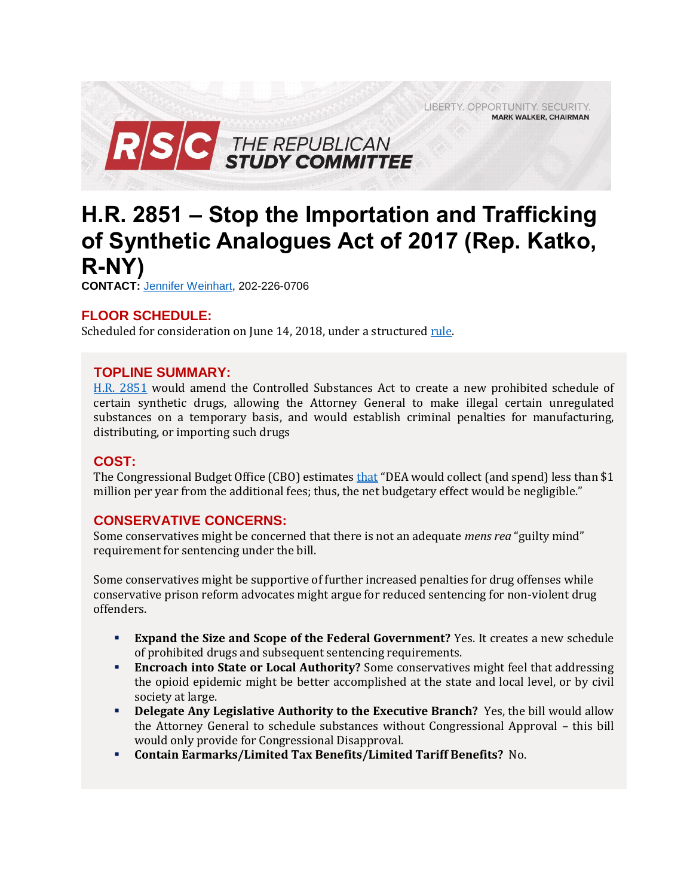LIBERTY. OPPORTUNITY. SECURITY. **MARK WALKER, CHAIRMAN** 



# **H.R. 2851 – Stop the Importation and Trafficking of Synthetic Analogues Act of 2017 (Rep. Katko, R-NY)**

**CONTACT:** [Jennifer Weinhart,](mailto:jennifer.weinhart@mail.house.gov) 202-226-0706

## **FLOOR SCHEDULE:**

Scheduled for consideration on June 14, 2018, under a structured rule.

## **TOPLINE SUMMARY:**

[H.R. 2851](https://docs.house.gov/billsthisweek/20180611/BILLS-115HR2851-RCP115-74.pdf) would amend the Controlled Substances Act to create a new prohibited schedule of certain synthetic drugs, allowing the Attorney General to make illegal certain unregulated substances on a temporary basis, and would establish criminal penalties for manufacturing, distributing, or importing such drugs

## **COST:**

The Congressional Budget Office (CBO) estimates [that](https://www.cbo.gov/system/files/115th-congress-2017-2018/costestimate/hr2851.pdf) "DEA would collect (and spend) less than \$1 million per year from the additional fees; thus, the net budgetary effect would be negligible."

## **CONSERVATIVE CONCERNS:**

Some conservatives might be concerned that there is not an adequate *mens rea* "guilty mind" requirement for sentencing under the bill.

Some conservatives might be supportive of further increased penalties for drug offenses while conservative prison reform advocates might argue for reduced sentencing for non-violent drug offenders.

- **Expand the Size and Scope of the Federal Government?** Yes. It creates a new schedule of prohibited drugs and subsequent sentencing requirements.
- **Encroach into State or Local Authority?** Some conservatives might feel that addressing the opioid epidemic might be better accomplished at the state and local level, or by civil society at large.
- **Delegate Any Legislative Authority to the Executive Branch?** Yes, the bill would allow the Attorney General to schedule substances without Congressional Approval – this bill would only provide for Congressional Disapproval.
- **Contain Earmarks/Limited Tax Benefits/Limited Tariff Benefits?** No.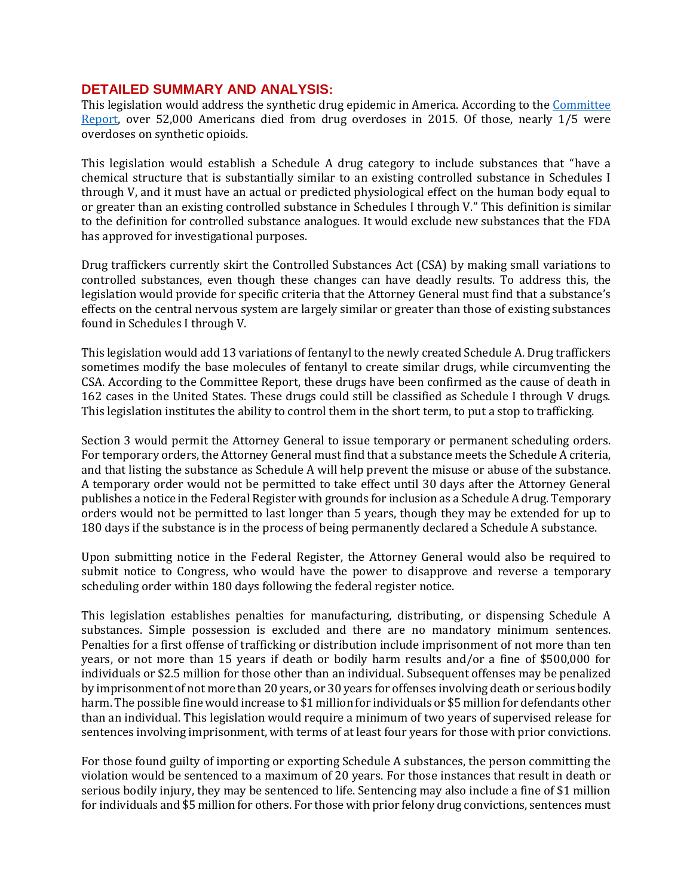#### **DETAILED SUMMARY AND ANALYSIS:**

This legislation would address the synthetic drug epidemic in America. According to the [Committee](https://www.gpo.gov/fdsys/pkg/CRPT-115hrpt713/pdf/CRPT-115hrpt713-pt1.pdf)  [Report,](https://www.gpo.gov/fdsys/pkg/CRPT-115hrpt713/pdf/CRPT-115hrpt713-pt1.pdf) over 52,000 Americans died from drug overdoses in 2015. Of those, nearly 1/5 were overdoses on synthetic opioids.

This legislation would establish a Schedule A drug category to include substances that "have a chemical structure that is substantially similar to an existing controlled substance in Schedules I through V, and it must have an actual or predicted physiological effect on the human body equal to or greater than an existing controlled substance in Schedules I through V." This definition is similar to the definition for controlled substance analogues. It would exclude new substances that the FDA has approved for investigational purposes.

Drug traffickers currently skirt the Controlled Substances Act (CSA) by making small variations to controlled substances, even though these changes can have deadly results. To address this, the legislation would provide for specific criteria that the Attorney General must find that a substance's effects on the central nervous system are largely similar or greater than those of existing substances found in Schedules I through V.

This legislation would add 13 variations of fentanyl to the newly created Schedule A. Drug traffickers sometimes modify the base molecules of fentanyl to create similar drugs, while circumventing the CSA. According to the Committee Report, these drugs have been confirmed as the cause of death in 162 cases in the United States. These drugs could still be classified as Schedule I through V drugs. This legislation institutes the ability to control them in the short term, to put a stop to trafficking.

Section 3 would permit the Attorney General to issue temporary or permanent scheduling orders. For temporary orders, the Attorney General must find that a substance meets the Schedule A criteria, and that listing the substance as Schedule A will help prevent the misuse or abuse of the substance. A temporary order would not be permitted to take effect until 30 days after the Attorney General publishes a notice in the Federal Register with grounds for inclusion as a Schedule A drug. Temporary orders would not be permitted to last longer than 5 years, though they may be extended for up to 180 days if the substance is in the process of being permanently declared a Schedule A substance.

Upon submitting notice in the Federal Register, the Attorney General would also be required to submit notice to Congress, who would have the power to disapprove and reverse a temporary scheduling order within 180 days following the federal register notice.

This legislation establishes penalties for manufacturing, distributing, or dispensing Schedule A substances. Simple possession is excluded and there are no mandatory minimum sentences. Penalties for a first offense of trafficking or distribution include imprisonment of not more than ten years, or not more than 15 years if death or bodily harm results and/or a fine of \$500,000 for individuals or \$2.5 million for those other than an individual. Subsequent offenses may be penalized by imprisonment of not more than 20 years, or 30 years for offenses involving death or serious bodily harm. The possible fine would increase to \$1 million for individuals or \$5 million for defendants other than an individual. This legislation would require a minimum of two years of supervised release for sentences involving imprisonment, with terms of at least four years for those with prior convictions.

For those found guilty of importing or exporting Schedule A substances, the person committing the violation would be sentenced to a maximum of 20 years. For those instances that result in death or serious bodily injury, they may be sentenced to life. Sentencing may also include a fine of \$1 million for individuals and \$5 million for others. For those with prior felony drug convictions, sentences must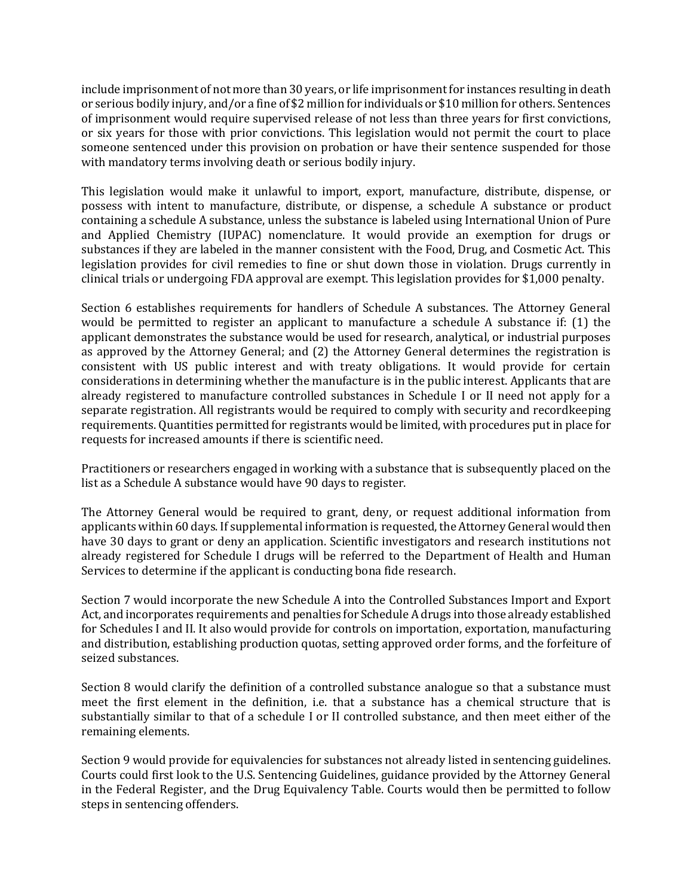include imprisonment of not more than 30 years, or life imprisonment for instances resulting in death or serious bodily injury, and/or a fine of \$2 million for individuals or \$10 million for others. Sentences of imprisonment would require supervised release of not less than three years for first convictions, or six years for those with prior convictions. This legislation would not permit the court to place someone sentenced under this provision on probation or have their sentence suspended for those with mandatory terms involving death or serious bodily injury.

This legislation would make it unlawful to import, export, manufacture, distribute, dispense, or possess with intent to manufacture, distribute, or dispense, a schedule A substance or product containing a schedule A substance, unless the substance is labeled using International Union of Pure and Applied Chemistry (IUPAC) nomenclature. It would provide an exemption for drugs or substances if they are labeled in the manner consistent with the Food, Drug, and Cosmetic Act. This legislation provides for civil remedies to fine or shut down those in violation. Drugs currently in clinical trials or undergoing FDA approval are exempt. This legislation provides for \$1,000 penalty.

Section 6 establishes requirements for handlers of Schedule A substances. The Attorney General would be permitted to register an applicant to manufacture a schedule A substance if: (1) the applicant demonstrates the substance would be used for research, analytical, or industrial purposes as approved by the Attorney General; and (2) the Attorney General determines the registration is consistent with US public interest and with treaty obligations. It would provide for certain considerations in determining whether the manufacture is in the public interest. Applicants that are already registered to manufacture controlled substances in Schedule I or II need not apply for a separate registration. All registrants would be required to comply with security and recordkeeping requirements. Quantities permitted for registrants would be limited, with procedures put in place for requests for increased amounts if there is scientific need.

Practitioners or researchers engaged in working with a substance that is subsequently placed on the list as a Schedule A substance would have 90 days to register.

The Attorney General would be required to grant, deny, or request additional information from applicants within 60 days. If supplemental information is requested, the Attorney General would then have 30 days to grant or deny an application. Scientific investigators and research institutions not already registered for Schedule I drugs will be referred to the Department of Health and Human Services to determine if the applicant is conducting bona fide research.

Section 7 would incorporate the new Schedule A into the Controlled Substances Import and Export Act, and incorporates requirements and penalties for Schedule A drugs into those already established for Schedules I and II. It also would provide for controls on importation, exportation, manufacturing and distribution, establishing production quotas, setting approved order forms, and the forfeiture of seized substances.

Section 8 would clarify the definition of a controlled substance analogue so that a substance must meet the first element in the definition, i.e. that a substance has a chemical structure that is substantially similar to that of a schedule I or II controlled substance, and then meet either of the remaining elements.

Section 9 would provide for equivalencies for substances not already listed in sentencing guidelines. Courts could first look to the U.S. Sentencing Guidelines, guidance provided by the Attorney General in the Federal Register, and the Drug Equivalency Table. Courts would then be permitted to follow steps in sentencing offenders.